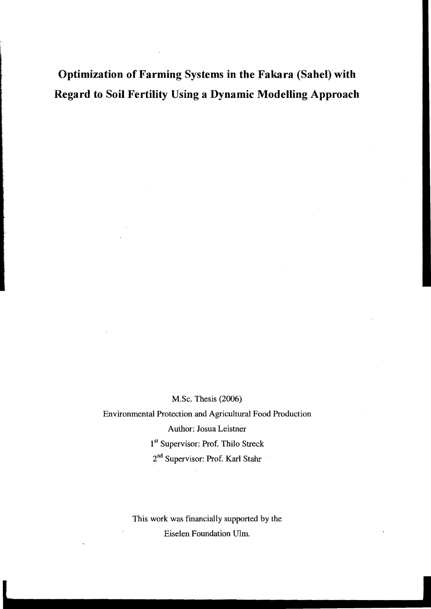**Optimization of Farming Systems in the Fakara (SaheI) with Regard to Soil Fertility Using a Dynamic Modelling Approach** 

M.Sc. Thesis (2006)

Environrnental Protection and Agricultural Food Production Author: Josua Leistner 1si Supervisor: Prof. Thilo Streck 2nd Supervisor: Prof. Karl Stahr

> This work was financially supported by the Eiselen Foundation Ulm.